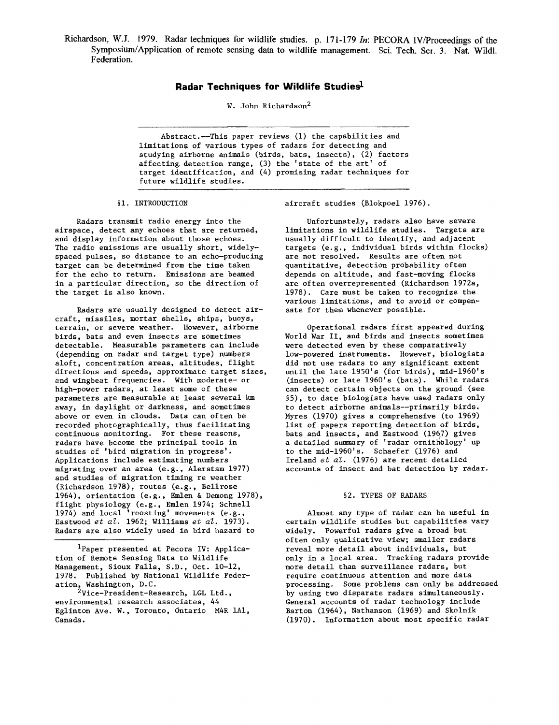Richardson, W.J. 1979. Radar techniques for wildlife studies. p. 171-179 *In:* PECORA IV/Proceedings of the Symposium/Application of remote sensing data to wildlife management. Sci. Tech. Ser. 3. Nat. Wildl. Federation.

# **Radar Techniques for Wildlife Studiesl**

W. John Richardson2

Abstract.--This paper reviews (1) the capabilities and limitations of various types of radars for detecting and studying airborne animals (birds, bats, insects), (2) factors affecting,detection range, (3) the 'state of the art' of target identification, and (4) promising radar techniques for future wildlife studies.

## §1. INTRODUCTION

Radars transmit radio energy into the airspace, detect any echoes that are returned, and display information about those echoes. The radio emissions are usually short, widelyspaced pulses, so distance to an echo-producing target can be determined from the time taken for the echo to return. Emissions are beamed in a particular direction, so the direction of the target is also known.

Radars are usually designed to detect aircraft, missiles, mortar shells, ships, buoys, terrain, or severe weather. However, airborne birds, bats and even insects are sometimes detectable. Measurable parameters can include (depending on radar and target type) numbers aloft, concentration areas, altitudes, flight directions and speeds, approximate target sizes, and wingbeat frequencies. With moderate- or high-power radars, at least some of these parameters are measurable at least several km away, in daylight or darkness, and sometimes above or even in clouds. Data can often be recorded photographically, thus facilitating continuous monitoring. For these reasons, radars have become the principal tools in studies of 'bird migration in progress'. Applications include estimating numbers migrating over an area (e.g., Alerstam 1977) and studies of migration timing re weather (Richardson 1978), routes (e.g., Bel1rose 1964), orientation (e.g., Emlen & Demong 1978), flight physiology (e.g., Emlen 1974; Schnell 1974) and local 'roosting' movements (e.g., Eastwood *et al.* 1962; Williams *et al. 1973).*  Radars are also widely used in bird hazard to

IPaper presented at Pecora IV: Application of Remote Sensing Data to Wildlife Management, Sioux Falls, S.D., Oct. 10-12, 1978. Published by National Wildlife Federation, Washington, D.C.

<sup>2</sup>Vice-President-Research, LGL Ltd., environmental research associates, 44 Eglinton Ave. W., Toronto, Ontario M4R lAl, Canada.

aircraft studies (Blokpoe1 1976).

Unfortunately, radars also have severe limitations in wildlife studies. Targets are usually difficult to identify, and adjacent targets (e.g., individual birds within flocks) are not resolved. Results are often not quantitative, detection probability often depends on altitude, and fast-moving flocks are often overrepresented (Richardson 1972a, 1978). Care must be taken to recognize the various limitations, and to avoid or compensate for them whenever possible.

Operational radars first appeared during World War II, and birds and insects sometimes were detected even by these comparatively low-powered instruments. However, biologists did not use radars to any significant extent until the late 1950's (for birds), mid-1960's (insects) or late 1960's (bats). While radars can detect certain objects on the ground (see §5), to date biologists have used radars only to detect airborne animals--primarily birds. Myres (1970) gives a comprehensive (to 1969) list of papers reporting detection of birds, bats and insects, and Eastwood (1967) gives a detailed summary of 'radar ornithology' up to the mid-1960's. Schaefer (1976) and Ireland *et al.* (1976) are recent detailed accounts of insect and bat detection by radar.

#### §2. TYPES OF RADARS

Almost any type of radar can be useful in certain wildlife studies but capabilities vary Widely. Powerful radars give a broad but often only qualitative view; smaller radars reveal more detail about individuals, but only in a local area. Tracking radars provide more detail than surveillance radars, but require continuous attention and more data processing. Some problems can only be addressed by using two disparate radars simultaneously. General accounts of radar technology include Barton (1964), Nathanson (1969) and Skolnik (1970). Information about most specific radar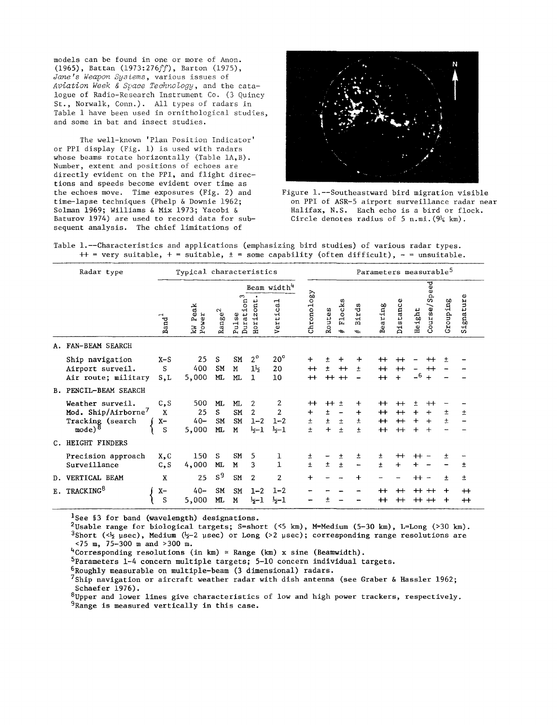models can be found in one or more of Anon. (1965), Battan *(1973:276ff),* Barton (1975), *Jane's Weapon Systems,* various issues of *Aviation Week* & *Space Technology,* and the catalogue of Radio-Research Instrument Co. (3 Quincy St., Norwalk, Conn.). All types of radars in Table 1 have been used in ornithological studies, and some in bat and insect studies.

The well-known 'Plan Position Indicator' or PPI display (Fig. 1) is used with radars whose beams rotate horizontally (Table lA, B). Number, extent and positions of echoes are directly evident on the PPI, and flight directions and speeds become evident over time as the echoes move. Time exposures (Fig. 2) and time-lapse techniques (Phelp & Downie 1962; Solman 1969; Williams & Mix 1973; Yacobi & Baturov 1974) are used to record data for subsequent analysis. The chief limitations of



Figure l.--Southeastward bird migration visible on PPI of ASR-5 airport surveillance radar near Halifax, N.S. Each echo is a bird or flock. Circle denotes radius of 5 n.mi.  $(9\frac{1}{4} \text{ km})$ .

Table l.--Characteristics and applications (emphasizing bird studies) of various radar types.  $++$  = very suitable,  $+$  = suitable,  $\pm$  = some capability (often difficult),  $-$  = unsuitable.

| Radar type   |                                                                                                 | Typical characteristics                 |                              |                      |                         |                                    |                                                     | Parameters measurable <sup>5</sup>   |                               |                         |                               |                                                    |                                      |                                    |                                         |                     |               |
|--------------|-------------------------------------------------------------------------------------------------|-----------------------------------------|------------------------------|----------------------|-------------------------|------------------------------------|-----------------------------------------------------|--------------------------------------|-------------------------------|-------------------------|-------------------------------|----------------------------------------------------|--------------------------------------|------------------------------------|-----------------------------------------|---------------------|---------------|
|              |                                                                                                 |                                         |                              |                      | Beam width <sup>4</sup> |                                    |                                                     |                                      |                               |                         |                               |                                                    |                                      |                                    | eed                                     |                     |               |
|              |                                                                                                 | $\overline{\phantom{0}}$<br><b>Band</b> | Peak<br>Power<br>Ř           | $\rm{Range}^2$       | m<br>Duration<br>Pulse  | ٠<br>Horizont                      | cal<br>Verti                                        | Chronology                           | Routes                        | Flocks<br>$\Rightarrow$ | irds<br>m<br>$\Rightarrow$    | Bearing                                            | Distance                             | Height                             | Ğ,<br>Course                            | Grouping            | Signature     |
| А.           | FAN-BEAM SEARCH                                                                                 |                                         |                              |                      |                         |                                    |                                                     |                                      |                               |                         |                               |                                                    |                                      |                                    |                                         |                     |               |
|              | Ship navigation<br>Airport surveil.<br>Air route; military                                      | $X-S$<br>S<br>S,L                       | 25<br>400<br>5,000           | S<br>SM<br>ML.       | <b>SM</b><br>M<br>ML    | $2^{\circ}$<br>1 <sup>1</sup><br>1 | $20^{\circ}$<br>20<br>10                            | $\ddot{}$<br>$^{\mathrm{+}}$<br>$^+$ | ±<br>±.<br>$++$ $++$          | ┿<br>$^+$               | ┿<br>±                        | $^{\rm ++}$<br>$^{\rm ++}$<br>$^{+}$               | $^{\rm ++}$<br>$^{++}$<br>$+$        | $-6$                               | $^{\rm +}$<br>$^{\rm ++}$<br>$+$        | Ŧ                   |               |
| <b>B.</b>    | PENCIL-BEAM SEARCH                                                                              |                                         |                              |                      |                         |                                    |                                                     |                                      |                               |                         |                               |                                                    |                                      |                                    |                                         |                     |               |
|              | Weather surveil.<br>Mod. Ship/Airborne <sup>7</sup><br>Tracking (search<br>$mode)$ <sup>8</sup> | c, s<br>X<br>$X-$<br>S                  | 500<br>25<br>$40 -$<br>5,000 | ML<br>S<br>SM<br>ML. | ML<br>SM<br>SM<br>M     | 2<br>2<br>$1 - 2$<br>$-1$          | 2<br>$\overline{2}$<br>$1 - 2$<br>$\frac{1}{2} - 1$ | $+$<br>$\ddot{}$<br>±<br>$\pm$       | $++$<br>$\pm$<br>$\pm$<br>$+$ | $\pm$<br>$\pm$<br>$\pm$ | ╈<br>$\ddot{}$<br>土<br>$\pm$  | $^{\rm +}$<br>$^{\rm +}$<br>$+$<br>$^{\mathrm{+}}$ | $^{\mathrm{+}}$<br>$+$<br>$+$<br>$+$ | 土<br>$\ddot{}$<br>$\ddot{}$<br>$+$ | $^{\rm ++}$<br>┿<br>$\ddot{}$<br>$\div$ | 土<br>Ŧ              | Ŧ             |
| $C_{\infty}$ | HEIGHT FINDERS                                                                                  |                                         |                              |                      |                         |                                    |                                                     |                                      |                               |                         |                               |                                                    |                                      |                                    |                                         |                     |               |
|              | Precision approach<br>Surveillance                                                              | x, c<br>C, S                            | 150<br>4,000                 | s<br>ML.             | SM<br>M                 | 5<br>3                             | ı<br>$\mathbf{1}$                                   | Ŧ<br>$\pm$                           | $\pm$                         | 土<br>$\pm$              | ±<br>$\overline{\phantom{0}}$ | ±<br>$\pm$                                         | $^{\rm +}$<br>$\ddot{}$              | $+ +$<br>╇                         |                                         | 土                   | 土             |
| D.           | VERTICAL BEAM                                                                                   | X                                       | 25                           | S <sup>9</sup>       | SM.                     | $\overline{2}$                     | $\overline{2}$                                      | $\ddot{}$                            |                               |                         | ┿                             |                                                    |                                      | $++$                               |                                         | Ŧ                   | 土             |
| E.           | TRACKING <sup>8</sup>                                                                           | $X-$<br>S                               | $40 -$<br>5,000              | SM<br>ML.            | SM<br>M                 | $1 - 2$<br>$5 - 1$                 | $1 - 2$<br>$\frac{1}{2} - 1$                        |                                      | 土                             |                         |                               | $^{\mathrm{+}}$<br>$^{\mathrm{+}}$                 | $^{\rm +}$<br>$^{\rm ++}$            | $++$<br>$++$                       | $++$<br>$^+$                            | $\ddot{}$<br>$\div$ | $+$<br>$^{+}$ |

<sup>1</sup>See §3 for band (wavelength) designations.

 $^2$ Usable range for biological targets; S=short (<5 km), M=Medium (5-30 km), L=Long (>30 km). 3Short ( $\langle \frac{1}{2} \mu \sec \rangle$ , Medium ( $\frac{1}{2}-2 \mu \sec$ ) or Long (>2  $\mu \sec$ ); corresponding range resolutions are <75 m, 75-300 m and >300 m.

<sup>4</sup>Corresponding resolutions (in km)  $\approx$  Range (km) x sine (Beamwidth).

5Parameters 1-4 concern multiple targets; 5-10 concern individual targets.

 $6$ Roughly measurable on multiple-beam (3 dimensional) radars.

 $7$ Ship navigation or aircraft weather radar with dish antenna (see Graber & Hassler 1962; Schaefer 1976).

 ${}^{8}$ Upper and lower lines give characteristics of low and high power trackers, respectively. <sup>9</sup>Range is measured vertically in this case.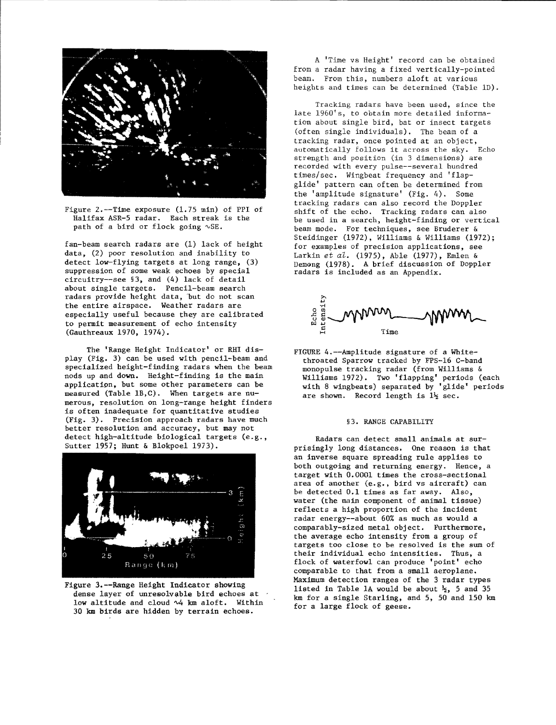

Figure 2.--Time exposure (1.75 min) of PPI of Halifax ASR-5 radar. Each streak is the path of a bird or flock going  $\sqrt{SE}$ .

fan-beam search radars are (1) lack of height data, (2) poor resolution and inability to detect low-flying targets at long range, (3) suppression of some weak echoes by special circuitry--see §3, and (4) lack of detail about single targets. Pencil-beam search radars provide height data, 'but do not scan the entire airspace. Weather radars are especially useful because they are calibrated to permit measurement of echo intensity (Gauthreaux 1970, 1974).

The 'Range Height Indicator' or RHI display (Fig. 3) can be used with pencil-beam and specialized height-finding radars when the beam nods up and down. Height-finding is the main applicatipn. but some other parameters can be measured (Table lB,C). When targets are numerous, resolution on long-range height finders is often inadequate for quantitative studies (Fig. 3). Precision approach radars have much better resolution and accuracy, but may not detect high-altitude biological targets (e.g., Sutter 1957; Hunt & Blokpoel 1973).



Figure 3.--Range Height Indicator showing dense layer of unresolvable bird echoes at ' low altitude and cloud  $\sim$ 4 km aloft. Within 30 km birds are hidden by terrain echoes.

A 'Time vs Height' record can be obtained from a radar having a fixed vertically-pointed beam. From this, numbers aloft at various heights and times can be determined (Table lD).

Tracking radars have been used, since the late 1960's, to obtain more detailed information about single bird, bat or insect targets (often single individuals), The beam of a tracking radar, once pointed at an object, automatically follows it across the sky. Echo strength and position (in 3 dimensions) are recorded with every pulse--several hundred times/sec. Wingbeat frequency and 'flapglide' pattern can often be determined from the 'amplitude signature' (Fig. 4). Some tracking radars can also record the Doppler shift of the echo. Tracking radars can also be used in a search, height-finding or vertical beam mode. For techniques, see Bruderer & Steidinger (1972), Williams & Williams (1972); for examples of precision applications, see Larkin *et al.* (1975), Able (1977), Emlen & Demang (1978). A brief discussion of Doppler radars is included as an Appendix.



FIGURE 4.--Amplitude signature of a Whitethroated Sparrow tracked by FPS-16 C-band monopulse tracking radar (from Williams & Williams 1972). Two 'flapping' periods (each with 8 wingbeats) separated by 'glide' periods are shown. Record length is  $1\frac{1}{2}$  sec.

### §3. RANGE CAPABILITY

Radars can detect small animals at surprisingly long distances. One reason is that an inverse square spreading rule applies to both outgoing and returning energy. Hence, a target with 0.0001 times the cross-sectional area of another (e.g., bird vs aircraft) can be detected 0.1 times as far away. Also, water (the main component of animal tissue) reflects a high proportion of the incident radar energy--about 60% as much as would a comparably-sized metal object. Furthermore, the average echo intensity from a group of targets too close to be resolved is the sum of their individual echo intensities. Thus, a flock of waterfowl can produce 'point' echo comparable to that from a small aeroplane. Maximum detection ranges of the 3 radar types listed in Table 1A would be about  $\frac{1}{2}$ , 5 and 35 km for a single Starling, and 5, 50 and 150 km for a large flock of geese.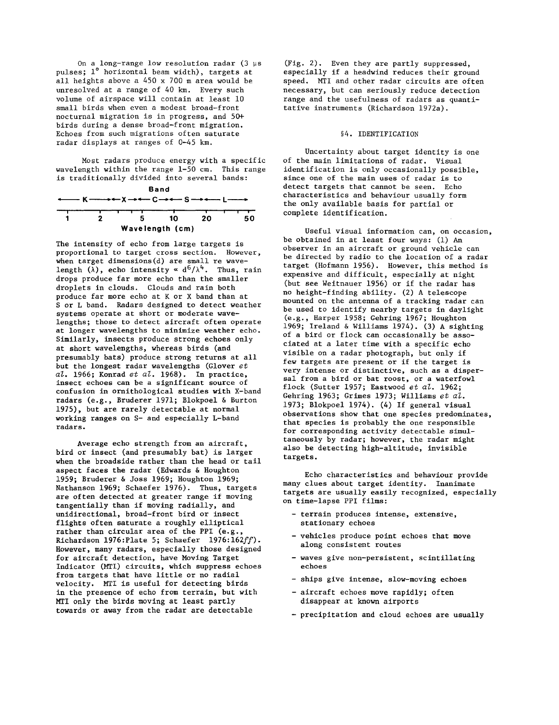On a long-range low resolution radar  $(3 ~us)$ pulses; 1° horizontal beam width), targets at all heights above a 450 x 700 m area would be unresolved at a range of 40 km. Every such volume of airspace will contain at least 10 small birds when even a modest broad-front nocturnal migration is in progress, and 50+ birds during a dense broad-front migration. Echoes from such migrations often saturate radar displays at ranges of 0-45 km.

Most radars produce energy with a specific wavelength within the range 1-50 cm. This range is traditionally divided into several bands:



The intensity of echo from large targets is proportional to target cross section. However, when target dimensions(d) are small re wavelength ( $\lambda$ ), echo intensity  $\alpha$  d<sup>6</sup>/ $\lambda$ <sup>4</sup>. Thus, rain drops produce far more echo than the smaller droplets in clouds. Clouds and rain both produce far more echo at K or X band than at S or L band. Radars designed to detect weather systems operate at short or moderate wavelengths; those to detect aircraft often operate at longer wavelengths to minimize weather echo. Similarly, insects produce strong echoes only at short wavelengths, whereas birds (and presumably bats) produce strong returns at all but the longest radar wavelengths (Glover *et al.* 1966; Konrad *et al.* 1968). In practice, insect echoes can be a significant source of confusion in ornithological studies with X-band radars (e.g., Bruderer 1971; Blokpoel & Burton 1975), but are rarely detectable at normal working ranges on S- and especially L-band radars.

Average echo strength from an aircraft, bird or insect (and presumably bat) is larger when the broadside rather than the head or tail aspect faces the radar (Edwards & Houghton 1959; Bruderer & Joss 1969; Houghton 1969; Nathanson 1969; Schaefer 1976). Thus, targets are often detected at greater range if moving tangentially than if moving radially, and unidirectional, broad-front bird or insect flights often saturate a roughly elliptical rather than circular area of the PPI (e.g., Richardson 1976:Plate 5; Schaefer *1976:l62ff).*  However, many radars, especially those designed for aircraft detection, have Moving Target Indicator (MTI) circuits, which suppress echoes from targets that have little or no radial velocity. MTI is useful for detecting birds in the presence of echo from terrain, but with MTI only the birds moving at least partly towards or away from the radar are detectable

(fig. 2). Even they are partly suppressed, especially if a headwind reduces their ground speed. MTI and other radar circuits are often necessary, but can seriously reduce detection range and the usefulness of radars as quantitative instruments (Richardson 1972a).

## §4. IDENTIFICATION

Uncertainty about target identity is one of the main limitations of radar. Visual identification is only occasionally possible, since one of the main uses of radar is to detect targets that cannot be seen. Echo characteristics and behaviour usually form the only available basis for partial or complete identification.

Useful visual information can, on occasion, be obtained in at least four ways: (1) An observer in an aircraft or ground vehicle can be directed by radio to the location of a radar target (Hofmann 1956). However, this method is expensive and difficult, especially at night (but see Weitnauer 1956) or if the radar has no height-finding ability. (2) A telescope mounted on the antenna of a tracking radar can be used to identify nearby targets in daylight (e.g., Harper 1958; Gehring 1967; Houghton 1969; Ireland & Williams 1974). (3) A sighting of a bird or flock can occasionally be associated at a later time with a specific echo visible on a radar photograph, but only if few targets are present or if the target is very intense or distinctive, such as a dispersal from a bird or bat roost, or a waterfowl flock (Sutter 1957; Eastwood *et al. 1962;*  Gehring 1963; Grimes 1973; Williams *et at.*  1973; Blokpoel 1974). (4) If general visual observations show that one species predominates, that species is probably the one responsible for corresponding activity detectable simultaneously by radar; however, the radar might also be detecting high-altitude, invisible targets.

Echo characteristics and behaviour provide many clues about target identity. Inanimate targets are usually easily recognized, especially on time-lapse PPI films:

- terrain produces intense, extensive, stationary echoes
- vehicles produce point echoes that move along consistent routes
- waves give non-persistent, scintillating echoes
- ships give intense, slow-moving echoes
- aircraft echoes move rapidly; often disappear at known airports
- precipitation and cloud echoes are usually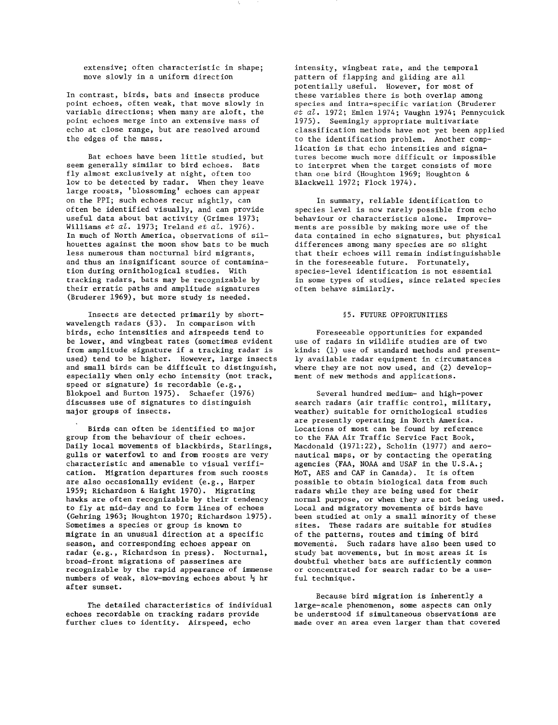extensive; often characteristic in shape; move slowly in a uniform direction

In contrast, birds, bats and insects produce point echoes, often weak, that move slowly in variable directions; when many are aloft, the point echoes merge into an extensive mass of echo at close range, but are resolved around the edges of the mass.

Bat echoes have been little studied, but seem generally similar to bird echoes. Bats fly almost exclusively at night, often too low to be detected by radar. When they leave large roosts, 'blossoming' echoes can appear on the PPI; such echoes recur nightly, can often be identified visually, and can provide useful data about bat activity (Grimes 1973; Williams *et al.* 1973; Ireland *et al. 1976).*  In much of North America, observations of silhouettes against the moon show bats to be much less numerous than nocturnal bird migrants, and thus an insignificant source of contamination during ornithological studies. With tracking radars, bats may be recognizable by their erratic paths and amplitude signatures (Bruderer 1969), but more study is needed.

Insects are detected primarily by shortwavelength radars (§3). In comparison with birds, echo intensities and airspeeds tend to be lower, and wingbeat rates (sometimes evident from amplitude signature if a tracking radar is used) tend to be higher. However, large insects and small birds can be difficult to distinguish, especially when only echo intensity (not track, speed or signature) is recordable (e.g. Blokpoel and Burton 1975). Schaefer (1976) discusses use of signatures to distinguish major groups of insects.

Birds can often be identified to major group from the behaviour of their echoes. Daily local movements of blackbirds, Starlings, gulls or waterfowl to and from roosts are very characteristic and amenable to visual verification. Migration departures from such roosts are also occasionally evident (e.g., Harper 1959; Richardson & Haight 1970). Migrating hawks are often recognizable by their tendency to fly at mid-day and to form lines of echoes (Gehring 1963; Houghton 1970; Richardson 1975). Sometimes a species or group is known to migrate in an unusual direction at a specific season, and corresponding echoes appear on radar (e.g., Richardson in press). Nocturnal, broad-front migrations of passerines are recognizable by the rapid appearance of immense numbers of weak, slow-moving echoes about  $\frac{1}{2}$  hr after sunset.

The detailed characteristics of individual echoes recordable on tracking radars provide further clues to identity. Airspeed, echo

intensity, wingbeat rate, and the temporal pattern of flapping and gliding are all potentially useful. However, for most of these variables there is both overlap among species and intra-specific variation (Bruderer *et al.* 1972; Emlen 1974; Vaughn 1974; Pennycuick 1975). Seemingly appropriate multivariate classification methods have not yet been applied to the identification problem. Another complication is that echo intensities and signatures become much more difficult or impossible to interpret when the target consists of more than one bird (Houghton 1969; Houghton & Blackwell 1972; Flock 1974).

In summary, reliable identification to species level is now rarely possible from echo behaviour or characteristics alone. Improvements are possible by making more use of the data contained in echo signatures, but physical differences among many species are so slight that their echoes will remain indistinguishable in the foreseeable future. Fortunately, species-level identification is not essential in some types of studies, since related species often behave similarly.

## §5. FUTURE OPPORTUNITIES

Foreseeable opportunities for expanded use of radars in wildlife studies are of two kinds: (1) use of standard methods and presently available radar equipment in circumstances where they are not now used, and (2) development of new methods and applications.

Several hundred medium- and high-power search radars (air traffic control, military, weather) suitable for ornithological studies are presently operating in North America. Locations of most can be found by reference to the FAA Air Traffic Service Fact Book, Macdonald (1971:22), Scholin (1977) and aeronautical maps, or by contacting the operating agencies (FAA, NOAA and USAF in the U.S.A.; MoT, AES and CAF in Canada). It is often possible to obtain biological data from such radars while they are being used for their normal purpose, or when they are not being used. Local and migratory movements of birds have been studied at only a small minority of these sites. These radars are suitable for studies of the patterns, routes and timing of bird movements. Such radars have also been used to study bat movements, but in most areas it is doubtful whether bats are sufficiently common or concentrated for search radar to be a useful technique.

Because bird migration is inherently a large-scale phenomenon, some aspects can only be understood if simultaneous observations are made over an area even larger than that covered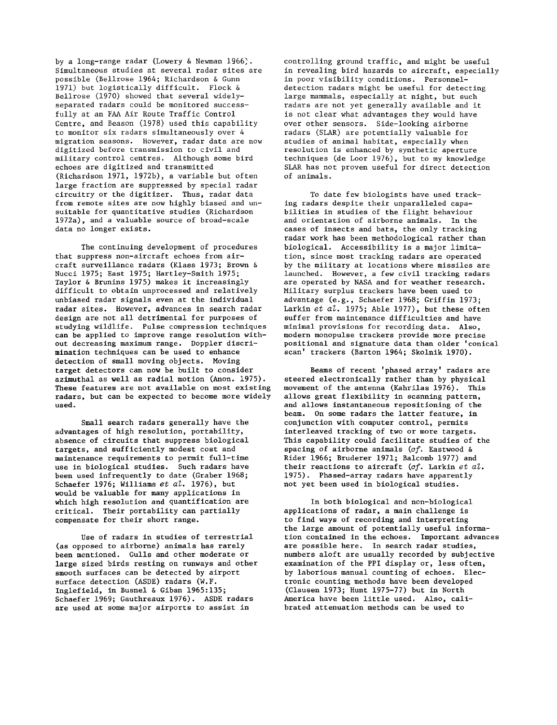by a long-range radar (Lowery & Newman 1966). Simultaneous studies at several radar sites are possible (Bellrose 1964; Richardson & Gunn 1971) but logistically difficult. Flock & Bellrose (1970) showed that several widelyseparated radars could be monitored successfully at an FAA Air Route Traffic Control Centre, and Beason (1978) used this capability to monitor six radars simultaneously over 4 migration seasons. However, radar data are now digitized before transmission to civil and military control centres. Although some bird echoes are digitized and transmitted (Richardson 1971, 1972b), a variable but often large fraction are suppressed by special radar circuitry or the digitizer. Thus, radar data from remote sites are now highly biased and unsuitable for quantitative studies (Richardson 1972a), and a valuable source of broad-scale data no longer exists.

The continuing development of procedures that suppress non-aircraft echoes from aircraft surveillance radars (Klass 1973; Brown & Nucci 1975; East 1975; Hartley-Smith 1975; Taylor & Brunins 1975) makes it increasingly difficult to obtain unprocessed and relatively unbiased radar signals even at the individual radar sites. However, advances in search radar design are not all detrimental for purposes of studying wildlife. Pulse compression techniques can be applied to improve range resolution without decreasing maximum range. Doppler discrimination techniques can be used to enhance detection of small moving objects. Moving target detectors can now be built to consider azimuthal as well as radial motion (Anon. 1975). These features are not available on most existing radars, but can be expected to become more widely used.

Small search radars generally have the advantages of high resolution, portability, absence of circuits that suppress biological targets, and sufficiently modest cost and maintenance requirements to permit full-time use in biological studies. Such radars have been used infrequently to date (Graber 1968; Schaefer 1976; Williams *et at.* 1976), but would be valuable for many applications in which high resolution and quantification are critical. Their portability can partially compensate for their short range.

Use of radars in studies of terrestrial (as opposed to airborne) animals has rarely been mentioned. Gulls and other moderate or large sized birds resting on runways and other smooth surfaces can be detected by airport surface detection (ASDE) radars (W.F. Inglefield, in Busnel & Giban 1965:135; Schaefer 1969; Gauthreaux 1976). ASDE radars are used at some major airports to assist in

controlling ground traffic, and might be useful in revealing bird hazards to aircraft, especially in poor visibility conditions. Personneldetection radars might be useful for detecting large mammals, especially at night, but such radars are not yet generally available and it is not clear what advantages they would have over other sensors. Side-looking airborne radars (SLAR) are potentially valuable for studies of animal habitat, especially when resolution is enhanced by synthetic aperture techniques (de Loor 1976), but to my knowledge SLAR has not proven useful for direct detection of animals.

To date few biologists have used tracking radars despite their unparalleled capabilities in studies of the flight behaviour and orientation of airborne animals. In the cases of insects and bats, the only tracking radar work has been methodological rather than biological. Accessibility is a major limitation, since most tracking radars are operated by the military at locations where missiles are launched. However, a few civil tracking radars are operated by NASA and for weather research. Military surplus trackers have been used to advantage (e.g., Schaefer 1968; Griffin 1973; Larkin *et at.* 1975; Able 1977), but these often suffer from maintenance difficulties and have minimal provisions for recording data. Also, modern monopulse trackers provide more precise positional and signature data than older 'conical scan' trackers (Barton 1964; Skolnik 1970).

Beams of recent 'phased array' radars are steered electronically rather than by physical movement of the antenna (Kahrilas 1976). This allows great flexibility in scanning pattern, and allows instantaneous repositioning of the beam. On some radars the latter feature, in conjunction with computer control, permits interleaved tracking of two or more targets. This capability could facilitate studies of the spacing of airborne animals *(cf.* Eastwood & Rider 1966; Bruderer 1971; Balcomb 1977) and their reactions to aircraft *(af.* Larkin *et at.* 1975). Phased-array radars have apparently not yet been used in biological studies.

In both biological and non-biological applications of radar, a main challenge is to find ways of recording and interpreting the large amount of potentially useful information contained in the echoes. Important advances are possible here. In search radar studies, numbers aloft are usually recorded by subjective examination of the PPI display or, less often, by laborious manual counting of echoes. Electronic counting methods have been developed (Clausen 1973; Hunt 1975-77) but in North America have been little used. Also, calibrated attenuation methods can be used to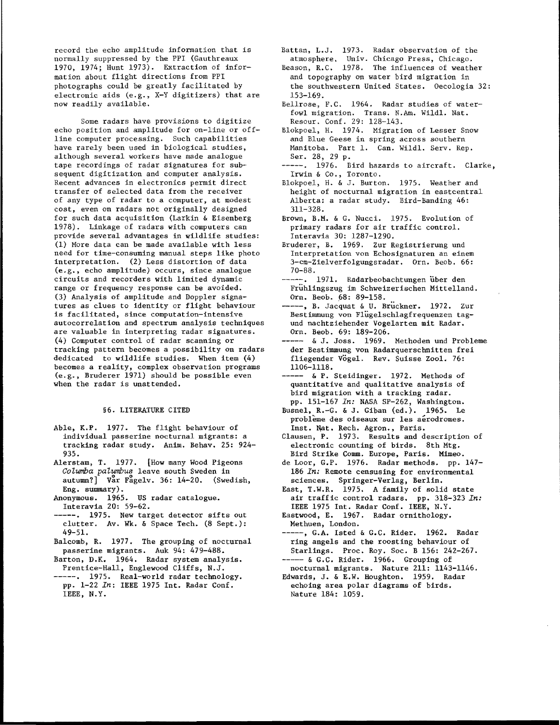record the echo amplitude information that is normally suppressed by the PPI (Gauthreaux 1970, 1974; Hunt 1973). Extraction of information about flight directions from PPI photographs could be greatly facilitated by electronic aids (e.g., X-Y digitizers) that are now readily available.

Some radars have provisions to digitize echo position and amplitude for on-line or offline computer processing. Such capabilities have rarely been used in biological studies, although several workers have made analogue tape recordings of radar signatures for subsequent digitization and computer analysis. Recent advances in electronics permit direct transfer of selected data from the receiver of any type of radar to a computer, at modest cost, even on radars not originally designed for such data acquisition (Larkin & Eisenberg 1978). Linkage of radars with computers can provide several advantages in wildlife studies: (1) More data can be made available with less need for time-consuming manual steps like photo interpretation. (2) Less distortion of data (e.g., echo amplitude) occurs, since analogue circuits and recorders with limited dynamic range or frequency response can be avoided. (3) Analysis of amplitude and Doppler signatures as clues to identity or flight behaviour is facilitated, since computation-intensive autocorrelation and spectrum analysis techniques are valuable in interpreting radar signatures. (4) Computer control of radar scanning or tracking pattern becomes a possibility on radars dedicated to wildlife studies. When item (4) becomes a reality, complex observation programs (e.g., Bruderer 1971) should be possible even when the radar is unattended.

## §6. LITERATURE CITED

- Able, K.P. 1977. The flight behaviour of individual passerine nocturnal migrants: a tracking radar study. Anim. Behav. 25: 924- 935.
- Alerstam, T. 1977. [How many Wood Pigeons *Cotumba patumbU8* leave south Sweden in  $autum?$  Var Fagelv. 36: 14-20. (Swedish, Eng. summary).
- Anonymous. 1965. us radar catalogue. Interavia 20: 59-62.
- 1975. New target detector sifts out clutter. Av. Wk. & Space Tech. (8 Sept.): 49-51.
- Balcomb, R. 1977. The grouping of nocturnal passerine migrants. Auk 94: 479-488.
- Barton, D.K. 1964. Radar system analysis. Prentice-Hall, Englewood Cliffs, N.J.
- -----. 1975. Real-world radar technology. pp. 1-22 *In:* IEEE 1975 Int. Radar Conf. IEEE, N.Y.
- Battan, L.J. 1973. Radar observation of the atmosphere. Univ. Chicago Press, Chicago.
- Beason, R.C. 1978. The influences of weather and topography on water bird migration in the southwestern United States. Oecologia 32: 153-169.
- Bellrose, F.C. 1964. Radar studies of waterfowl migration. Trans. N.Am. Wildl. Nat. Resour. Conf. 29: 128-143.
- Blokpoel, H. 1974. Migration of Lesser Snow and Blue Geese in spring across southern Manitoba. Part 1. Can. Wildl. Serv. Rep. Ser. 28, 29 p.
- 1976. Bird hazards to aircraft. Clarke, Irwin & Co., Toronto.
- Blokpoe1, H. & J. Burton. 1975. Weather and height of nocturnal migration in eastcentral Alberta: a radar study. Bird-Banding 46: 311-328.
- Brown, B.M. & G. Nucci. 1975. Evolution of primary radars for air traffic control. Interavia 30: 1287-1290.
- Bruderer, B. 1969. Zur Registrierung und Interpretation von Echosignaturen an einem 3-cm-Zie1verfolgungsradar. Orn. Beob. 66: 70-88.
- ---. 1971. Radarbeobachtungen über den Fruhlingszug im Schweizerischen Mittelland. Orn. Beob. *p8: 89-158.*
- ----, B. Jacquat & U. Bruckner. 1972. Zur Bestimmung von F1ugelschlagfrequenzen tagund nachtziehender Vogelarten mit Radar. Orn. Beob. 69: 189-206.
- & J. Joss. 1969. Methoden und Probleme der Bestimmung von Radarquerschnitten frei fliegender Vogel. Rev. Suisse Zool. 76: 1106-1118.
- --- & P. Steidinger. 1972. Methods of quantitative and qualitative analysis of bird migration with a tracking radar. pp. 151-167 *In:* NASA SP-262, Washington.
- Busnel, R.-G. & J. Giban (ed.). 1965. Le probleme des oiseaux sur les aerodromes. Inst. Nat. Rech. Agron., Paris.
- Clausen, P. 1973. Results and description of electronic counting of birds. 8th Mtg. Bird Strike Comm. Europe, Paris. Mimeo.
- de Loor, G.P. 1976. Radar methods. pp. 147- *186 In:* Remote censusing for environmental sciences. Springer-Verlag, Berlin.
- East, T.W.R. 1975. A family of solid state air traffic control radars. pp. 318-323 *In:*  IEEE 1975 Int. Radar Conf. IEEE, N.Y.
- Eastwood, E. 1967. Radar ornithology. Methuen, London.
- ----, G.A. Isted & G.C. Rider. 1962. Radar ring angels and the roosting behaviour of Starlings. Proc. Roy. Soc. B 156: 242-267. ----- & G.C. Rider. 1966. Grouping of
- nocturnal migrants. Nature 211: 1143-1146. Edwards, J. & E.W. Houghton. 1959. Radar
- echoing area polar diagrams of birds. Nature 184: 1059.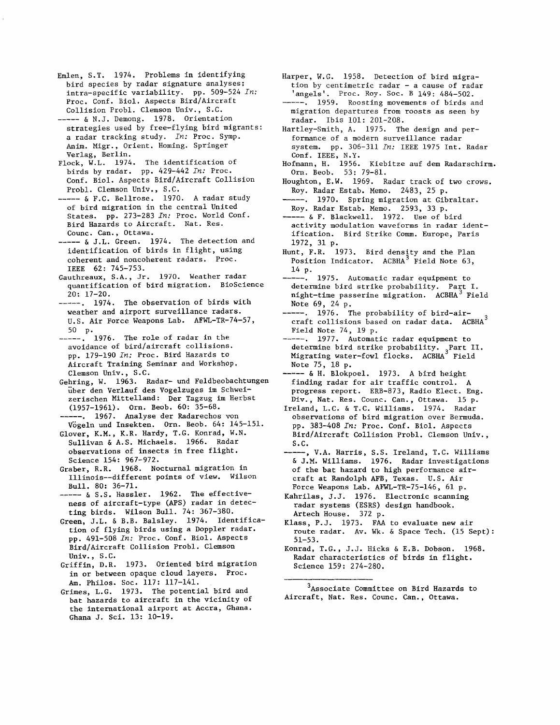- Emlen, S.T. 1974. Problems in identifying bird species by radar signature analyses: intra-specific variability. pp. 509-524 *In:*  Proc. Conf. Biol. Aspects Bird/Aircraft Collision Probl. Clemson Univ., S.C.
- ----- & N.J. Demong. 1978. Orientation strategies used by free-flying bird migrants: a radar tracking study. *In:* Proc. Symp. Anim. Migr., Orient. Homing. Springer Verlag, Berlin.
- Flock, W.L. 1974. The identification of birds by radar. pp. 429-442 *In:* Proc. Conf. Biol. Aspects Bird/Aircraft Collision
- Probl. Clemson Univ., S.C.<br>----- & F.C. Bellrose. 1970. A radar study of bird migration in the central United States. pp. 273-283 *In:* Proc. World Conf. Bird Hazards to Aircraft. Nat. Res. Counc. Can., Ottawa.
- ----- & J.L. Green. 1974. The detection and identification of birds in flight, using coherent and noncoherent radars. Proc. IEEE 62: 745-753.
- Gauthreaux, S.A., Jr. 1970. Weather radar quantification of bird migration. BioScience 20: 17-20.
- ----. 1974. The observation of birds with weather and airport surveillance radars. U.S. Air Force Weapons Lab. AFWL-TR-74-57, 50 p.
- -----. 1976. The role of radar in the avoidance of bird/aircraft collisions. pp. 179-190 *In:* Proc. Bird Hazards to Aircraft Training Seminar and Workshop. Clemson Univ., S.C.
- Gehring, W. 1963. Radar- und Feldbeobachtungen uber den Verlauf des Vogelzuges im Schweizerischen Mittelland: Der Tagzug im Herbst (1957-1961). Orn. Beob. 60: 35-68.
- -----. 1967. Analyse der Radarechos von Vogeln und Insekten. Orn. Beob. 64: 145-151.
- Glover, K.M., K.R. Hardy, T.G. Konrad, W.N. Sullivan & A.S. Michaels. 1966. Radar observations of insects in free flight. Science 154: 967-972.
- Graber, R.R. 1968. Nocturnal migration in Illinois--different points of view. Wilson Bull. 80: 36-71.
- ----- & S.S. Hassler. 1962. The effectiveness of aircraft-type (APS) radar in detecting birds. Wilson Bull. 74: 367-380.
- Green, J.L. & B.B. Balsley. 1974. Identification of flying birds using a Doppler radar. pp. 491-508 *In:* Proc. Conf. Biol. Aspects Bird/Aircraft Collision Probl. Clemson Univ., S.C.
- Griffin, D.R. 1973. Oriented bird migration in or between opaque cloud layers. Proc. Am. Philos. Soc. 117: 117-141.
- Grimes, L.G. 1973. The potential bird and bat hazards to aircraft in the vicinity of the international airport at Accra, Ghana. Ghana J. Sci. 13: 10-19.
- Harper, W.G. 1958. Detection of bird migration by centimetric radar - a cause of radar 'angels'. Proc. Roy. Soc. B 149: 484-502.
- -----. 1959. Roosting movements of birds and migration departures from roosts as seen by radar. Ibis 101: 201-208.
- Hartley-Smith, A. 1975. The design and performance of a modern surveillance radar system. pp. 306-311 *In:* IEEE 1975 Int. Radar Conf. IEEE, N.Y.
- Hofmann, H. 1956. Kiebitze auf dem Radarschirm. Orn. Beob. 53: 79-81.
- Houghton, E.W. 1969. Radar track of two crows. Roy. Radar Estab. Memo. 2483, 25 p.
- ---. 1970. Spring migration at Gibraltar. Roy. Radar Estab. Memo. 2593, 33 p.
- --- & F. Blackwell. 1972. Use of bird activity modulation waveforms in radar identification. Bird Strike Comm. Europe, Paris 1972, 31 p.
- Hunt, F.R. 1973. Bird density and the Plan<br>Position Indicator. ACBHA<sup>3</sup> Field Note 63, 14 p.
- 1975. Automatic radar equipment to determine bird strike probability. Part I. night-time passerine migration. ACBHA<sup>3</sup> Field Note 69, 24 p.
- ---. 1976. The probability of bird-aircraft collisions based on radar data.  $ACBHA<sup>3</sup>$ Field Note 74, 19 p.
- -----, 1977. Automatic radar equipment to determine bird strike probability.  ${}_{2}$ Part II. Migrating water-fowl flocks. ACBHA<sup>3</sup> Field Note 75, 18 p.
- ----- & H. Blokpoel. 1973. A bird height finding radar for air traffic control. A progress report. ERB-873, Radio Elect. Eng. Div., Nat. Res. Counc. Can., Ottawa. 15 p.
- Ireland, L.C. & T.C. Williams. 1974. Radar observations of bird migration over Bermuda. pp. 383-408 *In:* Proc. Conf. Biol. Aspects Bird/Aircraft Collision Probl. Clemson Univ., S.C.
- ., V.A. Harris, S.S. Ireland, T.C. Williams & J.M. Williams. 1976. Radar investigations of the bat hazard to high performance aircraft at Randolph AFB, Texas. U.S. Air Force Weapons Lab. AFWL-TR-75-l46, 61 p.
- Kahrilas, J.J. 1976. Electronic scanning radar systems (ESRS) design handbook. Artech House. 372 p.
- Klass, P.J. 1973. FAA to evaluate new air route radar. Av. Wk. & Space Tech. (15 Sept): 51-53.
- Konrad, T.G., J.J. Hicks & E.B. Dobson. 1968. Radar characteristics of birds in flight. Science 159: 274-280.

<sup>3</sup>Associate Committee on Bird Hazards to Aircraft, Nat. Res. Counc. Can., Ottawa.